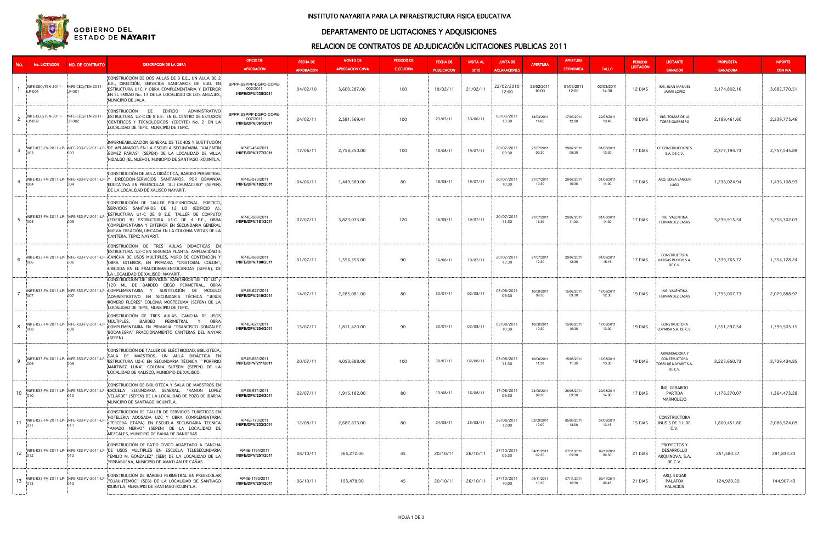| No.            | No. LICITACION                                     | <b>NO. DE CONTRATO</b>                              | <b>DESCRIPCION DE LA OBRA</b>                                                                                                                                                                                                                                                                                                       | OFICIO DE<br><b>APROBACION</b>                          | <b>FECHA DE</b>               | <b>MONTO DE</b><br><b>APROBACION C/IVA</b> | <b>PERIODO DE</b><br><b>EJECUCION</b> | <b>FECHA DE</b>                | <b>VISITA AL</b>         | <b>JUNTA DE</b>                            | <b>APERTURA</b>     | <b>APERTURA</b><br><b>ECONOMICA</b> | <b>FALLO</b>        | <b>PERIODO</b><br><b>LICITACIÓN</b> | <b>LICITANTE</b>                                                  | <b>PROPUESTA</b>                | <b>IMPORTE</b>                 |
|----------------|----------------------------------------------------|-----------------------------------------------------|-------------------------------------------------------------------------------------------------------------------------------------------------------------------------------------------------------------------------------------------------------------------------------------------------------------------------------------|---------------------------------------------------------|-------------------------------|--------------------------------------------|---------------------------------------|--------------------------------|--------------------------|--------------------------------------------|---------------------|-------------------------------------|---------------------|-------------------------------------|-------------------------------------------------------------------|---------------------------------|--------------------------------|
|                | INIFE-CECyTEN-2011- INIFE-CECyTEN-201<br>LP-001    | LP-001                                              | CONSTRUCCIÓN DE DOS AULAS DE 3 E.E., UN AULA DE 2<br>E.E., DIRECCIÓN, SERVICIOS SANITARIOS DE 6UD. EN<br>ESTRUCTURA U1C Y OBRA COMPLEMENTARIA Y EXTERIOR<br>EN EL EMSAD No. 13 DE LA LOCALIDAD DE LOS AGUAJES,<br>MUNICIPIO DE JALA.                                                                                                | SPPP-SSPPP-DGPO-COPE-<br>002/2011<br>INIFE/DPV/035/2011 | <b>APROBACION</b><br>04/02/10 | 3,600,287.00                               | 100                                   | <b>PUBLICACION</b><br>19/02/11 | <b>SITIO</b><br>21/02/11 | <b>ACLARACIONES</b><br>22/02/2010<br>12:00 | 28/02/2011<br>10:00 | 01/03/2011<br>12:00                 | 02/03/2011<br>14:30 | 12 DÍAS                             | <b>GANADOR</b><br>ING. JUAN MANUEL<br>JAIME LOPEZ                 | <b>GANADORA</b><br>3,174,802.16 | <b>CON IVA</b><br>3,682,770.51 |
| 2              | INIFE-CECyTEN-2011- INIFE-CECyTEN-2011<br>LP-002   | LP-002                                              | CONSTRUCCIÓN<br><b>DE</b><br><b>EDIFICIO</b><br>ADMINISTRATIVO:<br>ESTRUCTURA U2-C DE 8 E.E. EN EL CENTRO DE ESTUDIOS:<br>CIENTIFICOS Y TECNOLÓGICOS (CECYTE) No. 2 EN LA<br>LOCALIDAD DE TEPIC, MUNICIPIO DE TEPIC.                                                                                                                | SPPP-SSPPP-DGPO-COPE-<br>007/2011<br>INIFE/DPV/061/2011 | 24/02/11                      | 2,581,569.41                               | 100                                   | 23/03/11                       | 30/06/11                 | 08/03/2011<br>13:30                        | 14/03/2011<br>14:00 | 17/03/2011<br>12:00                 | 22/03/2011<br>13:45 | 18 DIAS                             | ING. TOMAS DE LA<br><b>TORRE GUERRERO</b>                         | 2,189,461.60                    | 2,539,775.46                   |
| -3             | 003                                                | :003                                                | IMPERMEABILIZACIÓN GENERAL DE TECHOS Y SUSTITUCIÓN<br>INIFE-R33-FV-2011-LP- INIFE-R33-FV-2011-LP- IDE APLANADOS EN LA ESCUELA SECUNDARIA "VALENTIN<br>GOMEZ FARIAS" (SEPEN) DE LA LOCALIDAD DE VILLA<br>HIDALGO (EL NUEVO), MUNICIPIO DE SANTIAGO IXCUINTLA.                                                                        | AP-IE-454/2011<br><b>INIFE/DPV/177/2011</b>             | 17/06/11                      | 2,758,250.00                               | 100                                   | 16/08/11                       | 19/07/11                 | 20/07/2011<br>09:30                        | 27/07/2011<br>09:30 | 29/07/2011<br>09:30                 | 01/08/2011<br>13:30 | 17 DIAS                             | <b>CC CONSTRUCCIONES</b><br>S.A. DE C.V.                          | 2,377,194.73                    | 2,757,545.89                   |
| $\overline{4}$ | 004                                                |                                                     | CONSTRUCCIÓN DE AULA DIDÁCTICA, BARDEO PERIMETRAL<br>INIFE-R33-FV-2011-LP- INIFE-R33-FV-2011-LP- Y DIRECCIÓN-SERVICIOS SANITARIOS, POR DEMANDA<br>EDUCATIVA EN PREESCOLAR "ALI CHUMACERO" (SEPEN)<br>DE LA LOCALIDAD DE XALISCO NAYARIT.                                                                                            | AP-IE-573/2011<br>INIFE/DPV/182/2011                    | 04/06/11                      | 1,449,689.00                               | 80                                    | 16/08/11                       | 19/07/11                 | 20/07/2011<br>10:30                        | 27/07/2011<br>10:30 | 29/07/2011<br>10:30                 | 01/08/2011<br>14:00 | 17 DIAS                             | ARQ. EDISA SANCEN<br>LUGO                                         | 1,238,024.94                    | 1,436,108.93                   |
| - 5            | inns                                               | INIFE-R33-FV-2011-LP- INIFE-R33-FV-2011-LP-<br>:005 | CONSTRUCCIÓN DE TALLER POLIFUNCIONAL, PORTICO,<br>SERVICIOS SANITARIOS DE 12 UD (EDIFICIO A).<br>ESTRUCTURA U1-C DE 8 E.E. TALLER DE COMPUTO<br>(EDIFICIO B) ESTRUCTURA U1-C DE 4 E.E., OBRA<br>COMPLEMENTARIA Y EXTERIOR EN SECUNDARIA GENERAL<br>NUEVA CREACIÓN, UBICADA EN LA COLONIA VISTAS DE LA<br>CANTERA, TEPIC: NAYARIT.   | AP-IE-589/2011<br>INIFE/DPV/181/2011                    | 07/07/11                      | 3,823,033.00                               | 120                                   | 16/08/11                       | 19/07/11                 | 20/07/2011<br>11:30                        | 27/07/2011<br>11:30 | 29/07/2011<br>11:30                 | 01/08/2011<br>14:30 | 17 DIAS                             | ING. VALENTINA<br><b>FERNANDEZ CASAS</b>                          | 3,239,915.54                    | 3,758,302.03                   |
| - 6            |                                                    | ാറല                                                 | CONSTRUCCIÓN DE TRES AULAS DIDÁCTICAS EN<br>ESTRUCTURA U2-C EN SEGUNDA PLANTA, AMPLIACIÓND E<br>INIFE-R33-FV-2011-LP- INIFE-R33-FV-2011-LP- CANCHA DE USOS MULTIPLES, MURO DE CONTENCIÓN Y<br>OBRA EXTERIOR, EN PRIMARIA "CRISTOBAL COLON",<br>UBICADA EN EL FRACCIONAMIENTOCANOAS (SEPEN), DE<br>LA LOCALIDAD DE XALISCO; NAYARIT. | AP-IE-568/2011<br>INIFE/DPV/180/2011                    | 01/07/11                      | 1,556,353.00                               | 90                                    | 16/08/11                       | 19/07/11                 | 20/07/2011<br>12:30                        | 27/07/2011<br>12:30 | 29/07/2011<br>12:30                 | 01/08/2011<br>15:15 | 17 DIAS                             | CONSTRUCTORA<br>VARGAS PULIDO S.A.<br>DE C.V.                     | 1,339,765.72                    | 1,554,128.24                   |
|                |                                                    |                                                     | CONSTRUCCIÓN DE SERVICIOS SANITARIOS DE 12 UD Y<br>120 ML DE BARDEO CIEGO PERIMETRAL, OBRA<br>Inife-r33-fV-2011-lp- Inife-r33-fV-2011-lp- Complementaria Y Sustitución de Modulo<br>ADMINISTRATIVO EN SECUNDARIA TÉCNICA "JESÚS:<br>ROMERO FLORES" COLONIA MOCTEZUMA (SEPEN) DE LA<br>LOCALIDAD DE TEPIC, MUNICIPIO DE TEPIC.       | AP-IE-627/2011<br>INIFE/DPV/210/2011                    | 14/07/11                      | 2,285,081.00                               | 80                                    | 30/07/11                       | 02/08/11                 | 03/08/2011<br>09:30                        | 10/08/2011<br>09:30 | 15/08/2011<br>09:30                 | 17/08/2011<br>12:30 | 19 DIAS                             | ING. VALENTINA<br><b>FERNANDEZ CASAS</b>                          | 1,793,007.73                    | 2,079,888.97                   |
| 8              | INIFE-R33-FV-2011-LP- INIFE-R33-FV-2011-<br>008    |                                                     | CONSTRUCCIÓN DE TRES AULAS, CANCHA DE USOS<br>MULTIPLES,<br>BARDEO<br>PERIMETRAL Y OBRA<br>COMPLEMENTARIA EN PRIMARIA "FRANCISCO GONZALEZ"<br>BOCANEGRA" FRACCIONAMIENTO CANTERAS DEL NAYAR<br>(SEPEN).                                                                                                                             | AP-IE-621/2011<br>INIFE/DPV/204/2011                    | 13/07/11                      | 1,811,420.00                               | 90                                    | 30/07/11                       | 02/08/11                 | 03/08/2011<br>10:30                        | 10/08/2011<br>10:30 | 15/08/2011<br>10:30                 | 17/08/2011<br>13:00 | 19 DIAS                             | CONSTRUCTORA<br>LOPARSA S.A. DE C.V.                              | 1,551,297.54                    | 1,799,505.15                   |
| 9              | 009                                                | INIFE-R33-FV-2011-LP- INIFE-R33-FV-2011-LP-<br>:009 | CONSTRUCCIÓN DE TALLER DE ELÉCTRICIDAD, BIBLIOTECA,<br>SALA DE MAESTROS, UN AULA DIDÁCTICA EN<br>ESTRUCTURA U2-C EN SECUNDARIA TÉCNICA " <sup>2</sup> PORFIRIO"<br>MARTINEZ LUNA" COLONIA SUTSEM (SEPEN) DE LA<br>LOCALIDAD DE XALISCO, MUNICIPIO DE XALISCO.                                                                       | AP-IE-651/2011<br>INIFE/DPV/211/2011                    | 20/07/11                      | 4,053,688.00                               | 100                                   | 30/07/11                       | 02/08/11                 | 03/08/201<br>11:30                         | 10/08/2011<br>11:30 | 15/08/2011<br>11:30                 | 17/08/2011<br>13:30 | 19 DIAS                             | ARRENDADORA Y<br>CONSTRUCTORA<br>TORRI DE NAYARIT S.A.<br>DE C.V. | 3,223,650.73                    | 3,739,434.85                   |
|                |                                                    |                                                     | CONSTRUCCION DE BIBLIOTECA Y SALA DE MAESTROS EN<br>10 INFE-R33-FV-2011-LP- INFE-R33-FV-2011-LP- ESCUELA SECUNDARIA GENERAL, "RAMON LOPEZ!<br>VELARDE" (SEPEN) DE LA LOCALIDAD DE POZO DE IBARRA<br>MUNICIPIO DE SANTIAGO IXCUINTLA.                                                                                                | AP-IE-671/2011<br>INIFE/DPV/224/2011                    | 22/07/11                      | 1,915,182.00                               | 80                                    | 13/08/11                       | 16/08/11                 | 17/08/2011<br>09:30                        | 24/08/2011<br>09:30 | 26/08/2011<br>09:30                 | 29/08/2011<br>14:00 | 17 DIAS                             | ING. GERARDO<br>PARTIDA<br>MARMOLEJO                              | 1,176,270.07                    | 1,364,473.28                   |
| 11             | 011                                                | INIFE-R33-FV-2011-LP- INIFE-R33-FV-2011-LP-         | CONSTRUCCION DE TALLER DE SERVICIOS TURISTICOS EN<br>HOTELERIA ADOSADA U2C Y OBRA COMPLEMENTARIA<br>(TERCERA ETAPA) EN ESCUELA SECUNDARIA TECNICA:<br>"AMADO NERVO" (SEPEN) DE LA LOCALIDAD DE<br>MEZCALES, MUNICIPIO DE BAHIA DE BANDERAS                                                                                          | AP-IE-773/2011<br><b>INIFE/DPV/233/2011</b>             | 12/08/11                      | 2,687,833.00                               | 80                                    | 24/08/11                       | 25/08/11                 | 26/08/2011<br>13:00                        | 02/09/2011<br>10:00 | 05/09/2011<br>13:00                 | 07/09/2011<br>13:15 | 15 DIAS                             | CONSTRUCTORA<br>INUS S DE R.L DE<br>C.V.                          | 1,800,451.80                    | 2,088,524.09                   |
|                |                                                    |                                                     | CONSTRUCCIÓN DE PATIO CIVICO ADAPTADO A CANCHA<br>INFE-R33-FV-2011-LP-INFE-R33-FV-2011-LP-IDE USOS MULTIPLES EN ESCUELA TELESECUNDARIA<br>"EMILIO M. GONZALEZ" (SEB) DE LA LOCALIDAD DE LA<br>YERBABUENA, MUNICIPIO DE AMATLAN DE CAÑAS                                                                                             | AP-IE-1194/2011<br>INIFE/DPV/251/2011                   | 06/10/11                      | 365,272.00                                 | 45                                    | 20/10/11                       | 26/10/11                 | 27/10/2011<br>09:30                        | 04/11/2011<br>09:30 | 07/11/2011<br>09:30                 | 09/11/2011<br>09:30 | 21 DIAS                             | PROYECTOS Y<br><b>DESARROLLO</b><br>ARQUINOVA, S.A.<br>DE C.V.    | 251,580.37                      | 291,833.23                     |
| 13             | INIFE-R33-FV-2011-LP- INIFE-R33-FV-2011-LP-<br>013 | :013                                                | CONSTRUCCIÓN DE BARDEO PERIMETRAL EN PREESCOLAR<br>"CUAUHTEMOC" (SEB) DE LA LOCALIDAD DE SANTIAGO:<br>IXUINTLA, MUNICIPIO DE SANTIAGO IXCUINTLA.                                                                                                                                                                                    | AP-IE-1193/2011<br>INIFE/DPV/251/2011                   | 06/10/11                      | 193,478.00                                 | 45                                    | 20/10/11                       | 26/10/11                 | 27/10/2011<br>10:00                        | 04/11/2011<br>10:30 | 07/11/2011<br>10:30                 | 09/11/2011<br>09:45 | 21 DIAS                             | ARQ. EDGAR<br>PALAFOX<br>PALACIOS                                 | 124,920.20                      | 144,907.43                     |

## DEPARTAMENTO DE LICITACIONES Y ADQUISICIONES

#### INSTITUTO NAYARITA PARA LA INFRAESTRUCTURA FISICA EDUCATIVA



# RELACION DE CONTRATOS DE ADJUDICACIÓN LICITACIONES PUBLICAS 2011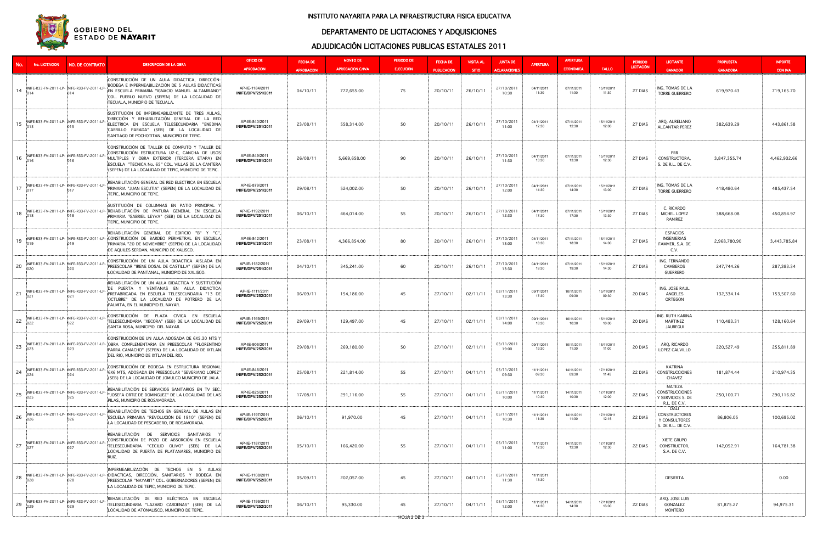# DEPARTAMENTO DE LICITACIONES Y ADQUISICIONES



#### INSTITUTO NAYARITA PARA LA INFRAESTRUCTURA FISICA EDUCATIVA

## ADJUDICACIÓN LICITACIONES PUBLICAS ESTATALES 2011

|    | No. LICITACION                                     | <b>NO. DE CONTRATO</b>                             | <b>DESCRIPCION DE LA OBRA</b>                                                                                                                                                                                                                                 | <b>OFICIO DE</b><br><b>APROBACION</b> | <b>FECHA DE</b><br><b>APROBACION</b> | <b>MONTO DE</b><br><b>APROBACION C/IVA</b> | PERIODO DE<br><b>EJECUCION</b> | <b>FECHA DE</b><br><b>PUBLICACION</b> | <b>VISITA AL</b><br><b>SITIO</b> | <b>JUNTA DE</b><br><b>ACLARACIONES</b> | <b>APERTURA</b>     | <b>APERTURA</b><br><b>ECONOMICA</b> | <b>FALLO</b>        | <b>PERIODO</b><br><b>LICITACIÓN</b> | <b>LICITANTE</b><br><b>GANADOR</b>                                   | <b>PROPUESTA</b><br><b>GANADORA</b> | <b>IMPORTE</b><br><b>CON IVA</b> |
|----|----------------------------------------------------|----------------------------------------------------|---------------------------------------------------------------------------------------------------------------------------------------------------------------------------------------------------------------------------------------------------------------|---------------------------------------|--------------------------------------|--------------------------------------------|--------------------------------|---------------------------------------|----------------------------------|----------------------------------------|---------------------|-------------------------------------|---------------------|-------------------------------------|----------------------------------------------------------------------|-------------------------------------|----------------------------------|
| 14 | INIFE-R33-FV-2011-LP- INIFE-R33-FV-2011-L          |                                                    | CONSTRUCCIÓN DE UN AULA DIDACTICA, DIRECCIÓN-<br>BODEGA E IMPERMEABILIZACIÓN DE 5 AULAS DIDACTICAS:<br>EN ESCUELA PRIMARIA "IGNACIO MANUEL ALTAMIRANO"<br>COL. PUEBLO NUEVO (SEPEN) DE LA LOCALIDAD DE<br>TECUALA, MUNICIPIO DE TECUALA.                      | AP-IE-1184/2011<br>INIFE/DPV/251/2011 | 04/10/11                             | 772,655.00                                 | 75                             | 20/10/11                              | 26/10/11                         | 27/10/2011<br>10:30                    | 04/11/2011<br>11:30 | 07/11/2011<br>11:30                 | 15/11/2011<br>11:30 | 27 DIAS                             | ING. TOMAS DE LA<br><b>TORRE GUERRERO</b>                            | 619,970.43                          | 719,165.70                       |
| 15 | INIFE-R33-FV-2011-LP- INIFE-R33-FV-2011-LI<br>015  |                                                    | SUSTITUCIÓN DE IMPERMEABILIZANTE DE TRES AULAS,<br>DIRECCIÓN Y REHABILITACIÓN GENERAL DE LA RED<br>ELECTRICA EN ESCUELA TELESECUNDARIA "ENEDINA!<br>CARRILLO PARADA" (SEB) DE LA LOCALIDAD DE<br>SANTIAGO DE POCHOTITAN, MUNICIPIO DE TEPIC.                  | AP-IE-840/2011<br>INIFE/DPV/251/2011  | 23/08/11                             | 558,314.00                                 | 50                             | 20/10/11                              | 26/10/11                         | 27/10/2011<br>11:00                    | 04/11/2011<br>12:30 | 07/11/2011<br>12:30                 | 15/11/2011<br>12:00 | 27 DIAS                             | ARQ. AURELIANO<br><b>ALCANTAR PEREZ</b>                              | 382,639.29                          | 443,861.58                       |
| 16 | INIFE-R33-FV-2011-LP- INIFE-R33-FV-2011-<br>016    | :016                                               | CONSTRUCCIÓN DE TALLER DE COMPUTO Y TALLER DE<br>CONSTRUCCIÓN ESTRUCTURA U2-C, CANCHA DE USOS<br>MULTIPLES Y OBRA EXTERIOR (TERCERA ETAPA) EN<br>ESCUELA "TECNICA No. 65" COL. VILLAS DE LA CANTERA!<br>(SEPEN) DE LA LOCALIDAD DE TEPIC, MUNICIPIO DE TEPIC. | AP-IE-849/2011<br>INIFE/DPV/251/2011  | 26/08/11                             | 5,669,658.00                               | 90                             | 20/10/11                              | 26/10/11                         | 27/10/2011<br>11:30                    | 04/11/2011<br>13:30 | 07/11/2011<br>13:30                 | 15/11/2011<br>12:30 | 27 DIAS                             | <b>PRR</b><br>CONSTRUCTORA<br>S. DE R.L. DE C.V.                     | 3,847,355.74                        | 4,462,932.66                     |
| 17 | INIFE-R33-FV-2011-LP- INIFE-R33-FV-2011-LI<br>017  |                                                    | REHABILITACIÓN GENERAL DE RED ELECTRICA EN ESCUELA<br>PRIMARIA "JUAN ESCUTIA" (SEPEN) DE LA LOCALIDAD DE<br>TEPIC, MUNICIPIO DE TEPIC.                                                                                                                        | AP-IE-879/2011<br>INIFE/DPV/251/2011  | 29/08/11                             | 524,002.00                                 | 50                             | 20/10/11                              | 26/10/11                         | 27/10/2011<br>12:00                    | 04/11/2011<br>14:30 | 07/11/2011<br>14:30                 | 15/11/2011<br>13:00 | 27 DIAS                             | ING. TOMAS DE LA<br><b>TORRE GUERRERO</b>                            | 418,480.64                          | 485,437.54                       |
| 18 | 018                                                |                                                    | SUSTITUCIÓN DE COLUMNAS EN PATIO PRINCIPAL Y<br>INIFE-R33-FV-2011-LP- INIFE-R33-FV-2011-LP- REHABILITACIÓN DE PINTURA GENERAL EN ESCUELA<br>PRIMARIA "GABRIEL LEYVA" (SEB) DE LA LOCALIDAD DE<br>TEPIC, MUNICIPIO DE TEPIC.                                   | AP-IE-1192/2011<br>INIFE/DPV/251/2011 | 06/10/11                             | 464,014.00                                 | 55                             | 20/10/11                              | 26/10/11                         | 27/10/2011<br>12:30                    | 04/11/2011<br>17:30 | 07/11/2011<br>17:30                 | 15/11/2011<br>13:30 | 27 DIAS                             | C. RICARDO<br>MICHEL LOPEZ<br>RAMIREZ                                | 388,668.08                          | 450,854.97                       |
| 19 | 019                                                | :019                                               | REHABILITACIÓN GENERAL DE EDIFICIO "B" Y "C",<br>INIFE-R33-FV-2011-LP-INIFE-R33-FV-2011-LP-ICONSTRUCCIÓN DE BARDEO PERIMETRAL EN ESCUELA<br>PRIMARIA "20 DE NOVIEMBRE" (SEPEN) DE LA LOCALIDAD<br>DE AQUILES SERDAN, MUNICIPIO DE XALISCO.                    | AP-IE-842/2011<br>INIFE/DPV/251/2011  | 23/08/11                             | 4,366,854.00                               | 80                             | 20/10/11                              | 26/10/11                         | 27/10/2011<br>13:00                    | 04/11/2011<br>18:30 | 07/11/2011<br>18:30                 | 15/11/2011<br>14:00 | 27 DIAS                             | <b>ESPACIOS</b><br>INGENIERIAS<br>FAMMER, S.A. DE<br>C.V.            | 2,968,780.90                        | 3,443,785.84                     |
| 20 | 020                                                | INIFE-R33-FV-2011-LP- INIFE-R33-FV-2011-LP-        | CONSTRUCCIÓN DE UN AULA DIDACTICA AISLADA EN<br>PREESCOLAR "IRENE DOSAL DE CASTILLA" (SEPEN) DE LA<br>LOCALIDAD DE PANTANAL, MUNICIPIO DE XALISCO.                                                                                                            | AP-IE-1182/2011<br>INIFE/DPV/251/2011 | 04/10/11                             | 345,241.00                                 | 60                             | 20/10/11                              | 26/10/11                         | 27/10/2011<br>13:30                    | 04/11/2011<br>19:30 | 07/11/2011<br>19:30                 | 15/11/2011<br>14:30 | 27 DIAS                             | ING. FERNANDO<br>CAMBEROS<br><b>GUERRERO</b>                         | 247,744.26                          | 287,383.34                       |
| 21 | INIFE-R33-FV-2011-LP- INIFE-R33-FV-2011<br>021     |                                                    | REHABILITACIÓN DE UN AULA DIDACTICA Y SUSTITUCIÓN<br>DE PUERTA Y VENTANAS EN AULA DIDACTICA:<br>PREFABRICADA EN ESCUELA TELESECUNDARIA "13 DE<br>OCTUBRE" DE LA LOCALIDAD DE POTRERO DE LA<br>PALMITA, EN EL MUNICIPIO EL NAYAR.                              | AP-IE-1111/2011<br>INIFE/DPV/252/2011 | 06/09/11                             | 154,186.00                                 | 45                             | 27/10/11                              | 02/11/11                         | 03/11/2011<br>13:30                    | 09/11/2011<br>17:30 | 10/11/2011<br>09:30                 | 15/11/2011<br>09:30 | 20 DIAS                             | ING. JOSE RAUL<br>ANGELES<br>ORTEGON                                 | 132,334.14                          | 153,507.60                       |
| 22 | INIFE-R33-FV-2011-LP- INIFE-R33-FV-2011-<br>022    |                                                    | CONSTRUCCIÓN DE PLAZA CIVICA EN ESCUELA<br>TELESECUNDARIA "XECORA" (SEB) DE LA LOCALIDAD DE<br>SANTA ROSA, MUNICIPIO DEL NAYAR.                                                                                                                               | AP-IE-1169/2011<br>INIFE/DPV/252/2011 | 29/09/11                             | 129,497.00                                 | 45                             | 27/10/11                              | 02/11/11                         | 03/11/2011<br>14:00                    | 09/11/2011<br>18:30 | 10/11/2011<br>10:30                 | 15/11/2011<br>10:00 | 20 DIAS                             | ING. RUTH KARINA<br>MARTINEZ<br>JAUREGUI                             | 110,483.31                          | 128,160.64                       |
| 23 | 023                                                | 023                                                | CONSTRUCCIÓN DE UN AULA ADOSADA DE 6X5.30 MTS Y<br>INIFE-R33-FV-2011-LP- INIFE-R33-FV-2011-LP- OBRA COMPLEMENTARIA EN PREESCOLAR "FLORENTINO<br>PARRA CAMACHO" (SEPEN) DE LA LOCALIDAD DE IXTLAN:<br>DEL RIO. MUNICIPIO DE IXTLAN DEL RIO.                    | AP-IE-906/2011<br>INIFE/DPV/252/2011  | 29/08/11                             | 269,180.00                                 | 50                             | 27/10/11                              | 02/11/11                         | 03/11/2011<br>19:00                    | 09/11/2011<br>19:30 | 10/11/2011<br>11:30                 | 15/11/2011<br>11:00 | 20 DIAS                             | ARQ. RICARDO<br>LOPEZ CALVILLO                                       | 220,527.49                          | 255,811.89                       |
| 24 | INIFE-R33-FV-2011-LP- INIFE-R33-FV-2011-LP-<br>024 |                                                    | CONSTRUCCIÓN DE BODEGA EN ESTRUCTURA REGIONAL<br>6X6 MTS, ADOSADA EN PREESCOLAR "SEVERIANO LOPEZ"<br>(SEB) DE LA LOCALIDAD DE JOMULCO MUNICIPIO DE JALA.                                                                                                      | AP-IE-848/2011<br>INIFE/DPV/252/2011  | 25/08/11                             | 221,814.00                                 | 55                             | 27/10/11                              | 04/11/11                         | 05/11/2011<br>09:30                    | 11/11/2011<br>09:30 | 14/11/2011<br>09:30                 | 17/11/2011<br>11:45 | 22 DIAS                             | KATRINA<br><b>CONSTRUCCIONES</b><br>CHAVEZ                           | 181,874.44                          | 210,974.35                       |
| 25 | 025                                                | INIFE-R33-FV-2011-LP- INIFE-R33-FV-2011-LP-<br>025 | REHABILITACIÓN DE SERVICIOS SANITARIOS EN TV SEC.<br>"JOSEFA ORTIZ DE DOMINGUEZ" DE LA LOCALIDAD DE LAS:<br>PILAS, MUNICIPIO DE ROSAMORADA.                                                                                                                   | AP-IE-825/2011<br>INIFE/DPV/252/2011  | 17/08/11                             | 291,116.00                                 | 55                             | 27/10/11                              | 04/11/11                         | 05/11/2011<br>10:00                    | 11/11/2011<br>10:30 | 14/11/2011<br>10:30                 | 17/11/2011<br>12:00 | 22 DIAS                             | MATEZA<br><b>CONSTRUCCIONES</b><br>Y SERVICIOS S. DE<br>R.L. DE C.V. | 250,100.71                          | 290,116.82                       |
| 26 | 026                                                | INIFE-R33-FV-2011-LP- INIFE-R33-FV-2011-LP-        | REHABILITACIÓN DE TECHOS EN GENERAL DE AULAS EN<br>ESCUELA PRIMARIA "REVOLUCIÓN DE 1910" (SEPEN) DE<br>LA LOCALIDAD DE PESCADERO, DE ROSAMORADA.                                                                                                              | AP-IE-1197/2011<br>INIFE/DPV/252/2011 | 06/10/11                             | 91,970.00                                  | 45                             | 27/10/11                              | 04/11/11                         | 05/11/2011<br>10:30                    | 11/11/2011<br>11:30 | 14/11/2011<br>11:30                 | 17/11/2011<br>12:15 | 22 DIAS                             | DALI<br><b>CONSTRUCTORES</b><br>Y CONSULTORES<br>S. DE R.L. DE C.V.  | 86,806.05                           | 100,695.02                       |
| 27 | INIFE-R33-FV-2011-LP- INIFE-R33-FV-2011-LP<br>027  | .027                                               | REHABILITACIÓN DE SERVICIOS SANITARIOS<br>CONSTRUCCIÓN DE POZO DE ABSORCIÓN EN ESCUELA<br>TELESECUNDARIA "CECILIO OLIVO" (SEB) DE LA<br>LOCALIDAD DE PUERTA DE PLATANARES, MUNICIPIO DE<br>RUIZ.                                                              | AP-IE-1187/2011<br>INIFE/DPV/252/2011 | 05/10/11                             | 166,420.00                                 | 55                             | 27/10/11                              | 04/11/11                         | 05/11/2011<br>11:00                    | 11/11/2011<br>12:30 | 14/11/2011<br>12:30                 | 17/11/2011<br>12:30 | 22 DIAS                             | <b>XIETE GRUPO</b><br>CONSTRUCTOR,<br>S.A. DE C.V.                   | 142,052.91                          | 164,781.38                       |
| 28 | .028                                               |                                                    | IMPERMEABILIZACIÓN DE TECHOS EN 5 AULAS<br>INIFE-R33-FV-2011-LP-INIFE-R33-FV-2011-LP-IDIDACTICAS, DIRECCIÓN, SANITARIOS Y BODEGA EN<br>PREESCOLAR "NAYARIT" COL. GOBERNADORES (SEPEN) DE<br>LA LOCALIDAD DE TEPIC, MUNICIPIO DE TEPIC.                        | AP-IE-1108/2011<br>INIFE/DPV/252/2011 | 05/09/11                             | 202,057.00                                 | 45                             | 27/10/11                              | 04/11/11                         | 05/11/2011<br>11:30                    | 11/11/2011<br>13:30 |                                     |                     |                                     | <b>DESIERTA</b>                                                      |                                     | 0.00                             |
| 29 | INIFE-R33-FV-2011-LP- INIFE-R33-FV-2011<br>029     | ፡ሰ29                                               | REHABILITACIÓN DE RED ELÉCTRICA EN ESCUELA<br>TELESECUNDARIA "LAZARO CARDENAS" (SEB) DE LA<br>LOCALIDAD DE ATONALISCO, MUNICIPIO DE TEPIC.                                                                                                                    | AP-IE-1199/2011<br>INIFE/DPV/252/2011 | 06/10/11                             | 95,330.00                                  | 45<br>HOJA 2 DE 3              | 27/10/11                              | 04/11/11                         | 05/11/2011<br>12:00                    | 11/11/2011<br>14:30 | 14/11/2011<br>14:30                 | 17/11/2011<br>13:00 | 22 DIAS                             | ARQ. JOSE LUIS<br>GONZALEZ<br>MONTERO                                | 81,875.27                           | 94,975.31                        |